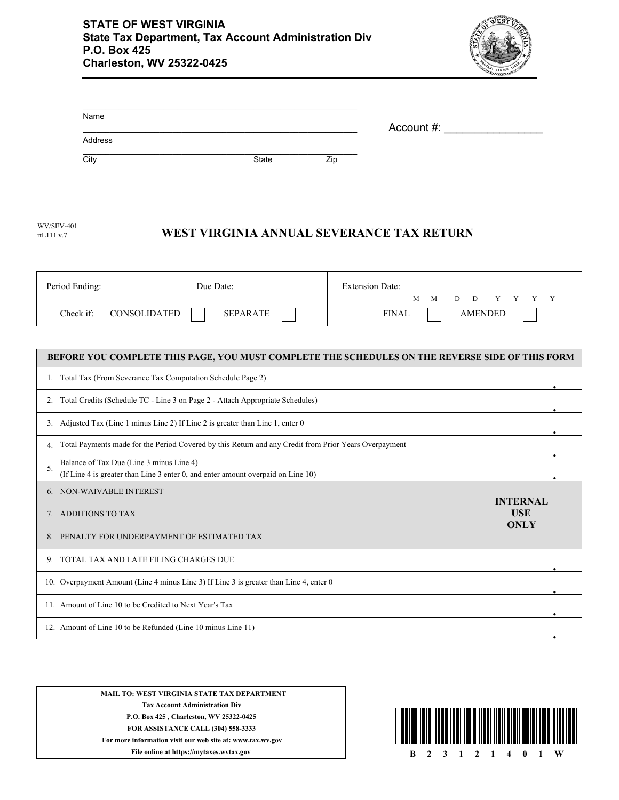

| Name    |       |     |            |
|---------|-------|-----|------------|
|         |       |     | Account #: |
| Address |       |     |            |
| City    | State | Zip |            |

| Period Ending:            | Due Date: | <b>Extension Date:</b><br>М    |
|---------------------------|-----------|--------------------------------|
| Check if:<br>CONSOLIDATED | SEPARATE  | <b>FINAL</b><br><b>AMENDED</b> |

| BEFORE YOU COMPLETE THIS PAGE, YOU MUST COMPLETE THE SCHEDULES ON THE REVERSE SIDE OF THIS FORM             |                           |
|-------------------------------------------------------------------------------------------------------------|---------------------------|
| Total Tax (From Severance Tax Computation Schedule Page 2)                                                  |                           |
| Total Credits (Schedule TC - Line 3 on Page 2 - Attach Appropriate Schedules)<br>2.                         |                           |
| Adjusted Tax (Line 1 minus Line 2) If Line 2 is greater than Line 1, enter 0<br>3.                          |                           |
| Total Payments made for the Period Covered by this Return and any Credit from Prior Years Overpayment<br>4. |                           |
| Balance of Tax Due (Line 3 minus Line 4)                                                                    |                           |
| 5.<br>(If Line 4 is greater than Line 3 enter 0, and enter amount overpaid on Line 10)                      |                           |
| 6. NON-WAIVABLE INTEREST                                                                                    | <b>INTERNAL</b>           |
| ADDITIONS TO TAX                                                                                            | <b>USE</b><br><b>ONLY</b> |
| PENALTY FOR UNDERPAYMENT OF ESTIMATED TAX                                                                   |                           |
| TOTAL TAX AND LATE FILING CHARGES DUE<br>9.                                                                 |                           |
| 10. Overpayment Amount (Line 4 minus Line 3) If Line 3 is greater than Line 4, enter 0                      |                           |
| 11. Amount of Line 10 to be Credited to Next Year's Tax                                                     |                           |
| 12. Amount of Line 10 to be Refunded (Line 10 minus Line 11)                                                |                           |

**MAIL TO: WEST VIRGINIA STATE TAX DEPARTMENT Tax Account Administration Div P.O. Box 425 , Charleston, WV 25322-0425 FOR ASSISTANCE CALL (304) 558-3333 For more information visit our web site at: www.tax.wv.gov**

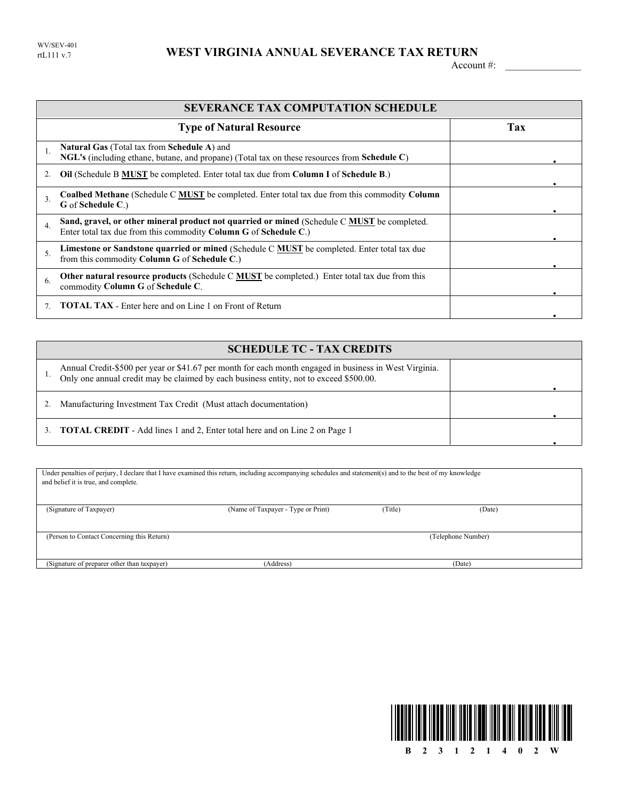## WEST VIRGINIA ANNUAL SEVERANCE TAX RETURN

Account #:

|                  | <b>SEVERANCE TAX COMPUTATION SCHEDULE</b>                                                                                                                       |     |
|------------------|-----------------------------------------------------------------------------------------------------------------------------------------------------------------|-----|
|                  | <b>Type of Natural Resource</b>                                                                                                                                 | Tax |
|                  | <b>Natural Gas</b> (Total tax from <b>Schedule A</b> ) and<br>NGL's (including ethane, butane, and propane) (Total tax on these resources from Schedule C)      |     |
|                  | <b>Oil</b> (Schedule B MUST be completed. Enter total tax due from Column I of Schedule B.)                                                                     |     |
| $\mathbf{3}$     | <b>Coalbed Methane</b> (Schedule C MUST be completed. Enter total tax due from this commodity Column<br>G of Schedule C.)                                       |     |
| $\overline{4}$ . | Sand, gravel, or other mineral product not quarried or mined (Schedule C MUST be completed.<br>Enter total tax due from this commodity Column G of Schedule C.) |     |
| $\overline{5}$ . | Limestone or Sandstone quarried or mined (Schedule C <b>MUST</b> be completed. Enter total tax due<br>from this commodity Column G of Schedule C.)              |     |
| 6.               | <b>Other natural resource products</b> (Schedule C <b>MUST</b> be completed.) Enter total tax due from this<br>commodity Column G of Schedule C.                |     |
|                  | <b>TOTAL TAX</b> - Enter here and on Line 1 on Front of Return                                                                                                  |     |

|    | <b>SCHEDULE TC - TAX CREDITS</b>                                                                                                                                                                 |  |
|----|--------------------------------------------------------------------------------------------------------------------------------------------------------------------------------------------------|--|
|    | Annual Credit-\$500 per year or \$41.67 per month for each month engaged in business in West Virginia.<br>Only one annual credit may be claimed by each business entity, not to exceed \$500.00. |  |
| 2. | Manufacturing Investment Tax Credit (Must attach documentation)                                                                                                                                  |  |
| 3. | <b>TOTAL CREDIT</b> - Add lines 1 and 2, Enter total here and on Line 2 on Page 1                                                                                                                |  |

| Under penalties of perjury, I declare that I have examined this return, including accompanying schedules and statement(s) and to the best of my knowledge<br>and belief it is true, and complete. |                                    |         |                    |  |
|---------------------------------------------------------------------------------------------------------------------------------------------------------------------------------------------------|------------------------------------|---------|--------------------|--|
| (Signature of Taxpayer)                                                                                                                                                                           | (Name of Taxpayer - Type or Print) | (Title) | (Date)             |  |
| (Person to Contact Concerning this Return)                                                                                                                                                        |                                    |         | (Telephone Number) |  |
| (Signature of preparer other than taxpayer)                                                                                                                                                       | (Address)                          |         | (Date)             |  |

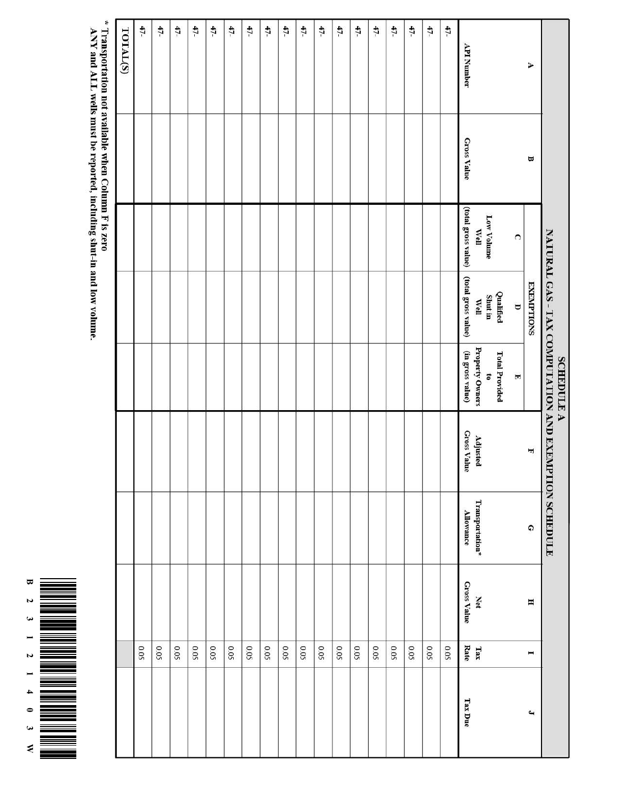|                                                      |             |                             |                             | <b>SCHEDULE A</b>                   | NATURAL GAS - TAX COMPUTATION AND EXEMPTION SCHEDULE |                                     |                           |             |                          |
|------------------------------------------------------|-------------|-----------------------------|-----------------------------|-------------------------------------|------------------------------------------------------|-------------------------------------|---------------------------|-------------|--------------------------|
| ¥                                                    | Ξ           |                             | <b>EXEMPTIONS</b>           |                                     | H                                                    | $\Omega$                            | H                         | Ξ           | $\overline{\phantom{0}}$ |
|                                                      |             | $\Omega$                    | $\overline{a}$              | $\overline{\mathbb{F}}$             |                                                      |                                     |                           |             |                          |
|                                                      |             |                             | Qualified                   | <b>Total Provided</b>               |                                                      |                                     |                           |             |                          |
|                                                      |             | <b>Low Volume</b>           | Shut in                     | 5                                   |                                                      |                                     |                           |             |                          |
| <b>API Number</b>                                    | Gross Value | (total gross value)<br>Well | (total gross value)<br>Well | Property Owners<br>(in gross value) | <b>Gross Value</b><br>Adjusted                       | Transportation*<br><b>Allowance</b> | <b>Gross Value</b><br>Net | Rate<br>Tax | <b>Tax Due</b>           |
| 47-                                                  |             |                             |                             |                                     |                                                      |                                     |                           | 0.05        |                          |
| 47-                                                  |             |                             |                             |                                     |                                                      |                                     |                           | 0.05        |                          |
| 47-                                                  |             |                             |                             |                                     |                                                      |                                     |                           | 0.05        |                          |
| 47-                                                  |             |                             |                             |                                     |                                                      |                                     |                           | 0.05        |                          |
| 47-                                                  |             |                             |                             |                                     |                                                      |                                     |                           | 0.05        |                          |
| 47-                                                  |             |                             |                             |                                     |                                                      |                                     |                           | 0.05        |                          |
| $47-$                                                |             |                             |                             |                                     |                                                      |                                     |                           | 0.05        |                          |
| 47-                                                  |             |                             |                             |                                     |                                                      |                                     |                           | 0.05        |                          |
| 47-                                                  |             |                             |                             |                                     |                                                      |                                     |                           | <b>0.05</b> |                          |
| 47-                                                  |             |                             |                             |                                     |                                                      |                                     |                           | 0.05        |                          |
| 47-                                                  |             |                             |                             |                                     |                                                      |                                     |                           | 0.05        |                          |
| $47-$                                                |             |                             |                             |                                     |                                                      |                                     |                           | 0.05        |                          |
| 47-                                                  |             |                             |                             |                                     |                                                      |                                     |                           | 50.0        |                          |
| $47-$                                                |             |                             |                             |                                     |                                                      |                                     |                           | 0.05        |                          |
| 47-                                                  |             |                             |                             |                                     |                                                      |                                     |                           | 0.05        |                          |
| 47-                                                  |             |                             |                             |                                     |                                                      |                                     |                           | 0.05        |                          |
| 47-                                                  |             |                             |                             |                                     |                                                      |                                     |                           | 0.05        |                          |
| 47-                                                  |             |                             |                             |                                     |                                                      |                                     |                           | 0.05        |                          |
| TOTAL(S)                                             |             |                             |                             |                                     |                                                      |                                     |                           |             |                          |
| * Transportation not available when Column F is zero |             |                             |                             |                                     |                                                      |                                     |                           |             |                          |

ANY and ALL wells must be reported, including shut-in and low volume.

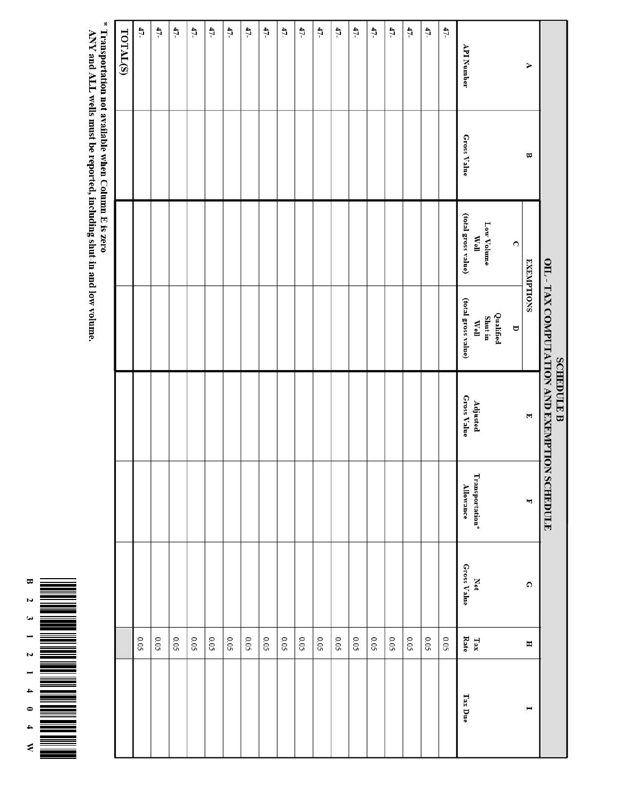

\* Transportation not available when Column E is zero<br>ANY and ALL wells must be reported, including shut-in and low volume.

|                   |             |                             | OIL - TAX COMPUTATION AND EXEMPTION SCHEDULE | <b>SCHEDULE B</b>       |                                                     |                           |                     |                |
|-------------------|-------------|-----------------------------|----------------------------------------------|-------------------------|-----------------------------------------------------|---------------------------|---------------------|----------------|
| À                 | $\Xi$       | <b>EXEMPTIONS</b>           |                                              | $\blacksquare$          | H                                                   | $\Omega$                  | Η                   | $\overline{ }$ |
|                   |             | $\Omega$                    | Δ                                            |                         |                                                     |                           |                     |                |
|                   |             | Low Volume                  | Qualified<br>Shut in                         |                         |                                                     |                           |                     |                |
| <b>API Number</b> | Gross Value | (total gross value)<br>Well | (total gross value)<br>Well                  | Gross Value<br>Adjusted | $\mathrm{Transportion}^{\star}$<br><b>Allowance</b> | Gross Value<br><b>Net</b> | Rate<br>$\Gamma$ ax | Tax Due        |
| $47-$             |             |                             |                                              |                         |                                                     |                           | 0.05                |                |
| $47-$             |             |                             |                                              |                         |                                                     |                           | 50'0                |                |
| 47-               |             |                             |                                              |                         |                                                     |                           | 0.05                |                |
| $47-$             |             |                             |                                              |                         |                                                     |                           | 0.05                |                |
| 47-               |             |                             |                                              |                         |                                                     |                           | 0.05                |                |
| $47-$             |             |                             |                                              |                         |                                                     |                           | 0.05                |                |
| $47-$             |             |                             |                                              |                         |                                                     |                           | 0.05                |                |
| 47-               |             |                             |                                              |                         |                                                     |                           | 0.05                |                |
| $47-$             |             |                             |                                              |                         |                                                     |                           | 0.05                |                |
| $47-$             |             |                             |                                              |                         |                                                     |                           | 500                 |                |
| 47-               |             |                             |                                              |                         |                                                     |                           | 0.05                |                |
| $47-$             |             |                             |                                              |                         |                                                     |                           | 0.05                |                |
| $47 -$            |             |                             |                                              |                         |                                                     |                           | 0.05                |                |
| $47-$             |             |                             |                                              |                         |                                                     |                           | 0.05                |                |
| $47-$             |             |                             |                                              |                         |                                                     |                           | 0.05                |                |
| $47-$             |             |                             |                                              |                         |                                                     |                           | 0.05                |                |
| 47-               |             |                             |                                              |                         |                                                     |                           | 0.05                |                |
| $47-$             |             |                             |                                              |                         |                                                     |                           | 0.05                |                |
| TOTAL(S)          |             |                             |                                              |                         |                                                     |                           |                     |                |